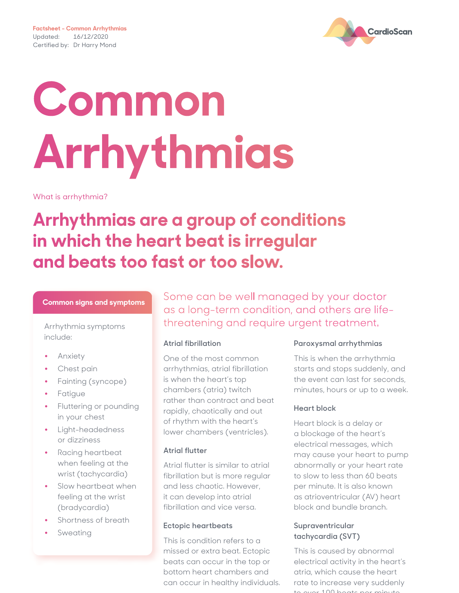

# **Common Arrhythmias**

What is arrhythmia?

## **Arrhythmias are a group of conditions in which the heart beat is irregular and beats too fast or too slow.**

#### **Common signs and symptoms**

include:

- **•** Anxiety
- **•** Chest pain
- **•** Fainting (syncope)
- **•** Fatigue
- **•** Fluttering or pounding in your chest
- **•** Light-headedness or dizziness
- **•** Racing heartbeat when feeling at the wrist (tachycardia)
- **•** Slow heartbeat when feeling at the wrist (bradycardia)
- **•** Shortness of breath
- **•** Sweating

Some can be well managed by your doctor as a long-term condition, and others are life-Arrhythmia symptoms threatening and require urgent treatment.

#### **Atrial fibrillation**

One of the most common arrhythmias, atrial fibrillation is when the heart's top chambers (atria) twitch rather than contract and beat rapidly, chaotically and out of rhythm with the heart's lower chambers (ventricles).

#### **Atrial flutter**

Atrial flutter is similar to atrial fibrillation but is more regular and less chaotic. However, it can develop into atrial fibrillation and vice versa.

#### **Ectopic heartbeats**

This is condition refers to a missed or extra beat. Ectopic beats can occur in the top or bottom heart chambers and can occur in healthy individuals.

#### **Paroxysmal arrhythmias**

This is when the arrhythmia starts and stops suddenly, and the event can last for seconds, minutes, hours or up to a week.

#### **Heart block**

Heart block is a delay or a blockage of the heart's electrical messages, which may cause your heart to pump abnormally or your heart rate to slow to less than 60 beats per minute. It is also known as atrioventricular (AV) heart block and bundle branch.

#### **Supraventricular tachycardia (SVT)**

This is caused by abnormal electrical activity in the heart's atria, which cause the heart rate to increase very suddenly  $\approx 100$  beats